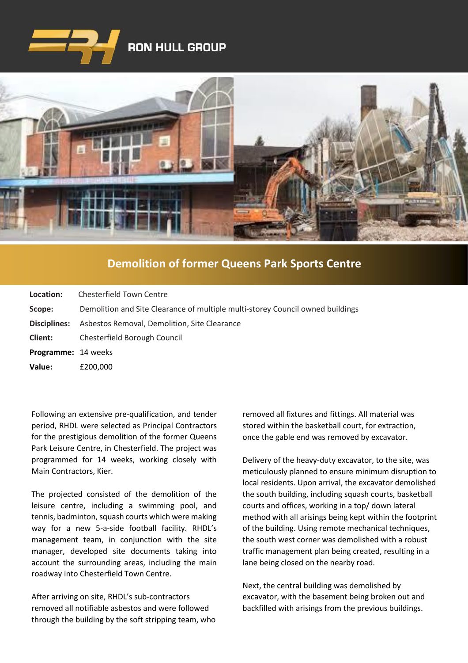

## **RON HULL GROUP**



## **[Demolition of former Queens Park Sports Centre](https://www.google.co.uk/imgres?imgurl=http%3A%2F%2Fwww.clenergy.co.uk%2FImageGen.ashx%3Fimage%3D%2Fmedia%2F1044%2Fcredit-solutia-2009-looking-south-4mb.jpg%26width%3D568%26height%3D320&imgrefurl=http%3A%2F%2Fwww.clenergy.co.uk%2Fprojects%2Fsolutia%2F&docid=l4QIaOP_OnRHZM&tbnid=A2rf481aMiEi8M%3A&vet=10ahUKEwie4JWq6srkAhX6SxUIHaTaDYwQMwg_KAEwAQ..i&w=568&h=320&bih=575&biw=1280&q=eastman%20chemical%20plant%20newport%20wales&ved=0ahUKEwie4JWq6srkAhX6SxUIHaTaDYwQMwg_KAEwAQ&iact=mrc&uact=8)**

| Location:                  | Chesterfield Town Centre                                                       |
|----------------------------|--------------------------------------------------------------------------------|
| Scope:                     | Demolition and Site Clearance of multiple multi-storey Council owned buildings |
| Disciplines:               | Asbestos Removal, Demolition, Site Clearance                                   |
| <b>Client:</b>             | Chesterfield Borough Council                                                   |
| <b>Programme: 14 weeks</b> |                                                                                |
| Value:                     | £200,000                                                                       |

Following an extensive pre-qualification, and tender period, RHDL were selected as Principal Contractors for the prestigious demolition of the former Queens Park Leisure Centre, in Chesterfield. The project was programmed for 14 weeks, working closely with Main Contractors, Kier.

The projected consisted of the demolition of the leisure centre, including a swimming pool, and tennis, badminton, squash courts which were making way for a new 5-a-side football facility. RHDL's management team, in conjunction with the site manager, developed site documents taking into account the surrounding areas, including the main roadway into Chesterfield Town Centre.

After arriving on site, RHDL's sub-contractors removed all notifiable asbestos and were followed through the building by the soft stripping team, who removed all fixtures and fittings. All material was stored within the basketball court, for extraction, once the gable end was removed by excavator.

Delivery of the heavy-duty excavator, to the site, was meticulously planned to ensure minimum disruption to local residents. Upon arrival, the excavator demolished the south building, including squash courts, basketball courts and offices, working in a top/ down lateral method with all arisings being kept within the footprint of the building. Using remote mechanical techniques, the south west corner was demolished with a robust traffic management plan being created, resulting in a lane being closed on the nearby road.

Next, the central building was demolished by excavator, with the basement being broken out and backfilled with arisings from the previous buildings.